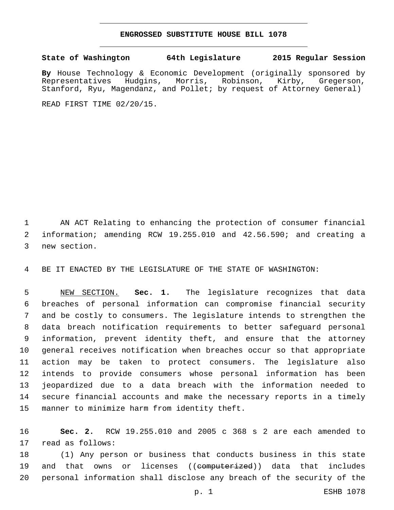## **ENGROSSED SUBSTITUTE HOUSE BILL 1078**

## **State of Washington 64th Legislature 2015 Regular Session**

By House Technology & Economic Development (originally sponsored by Representatives Hudgins, Morris, Robinson, Kirby, Gregerson, Representatives Hudgins, Morris, Robinson, Kirby, Gregerson, Stanford, Ryu, Magendanz, and Pollet; by request of Attorney General)

READ FIRST TIME 02/20/15.

 AN ACT Relating to enhancing the protection of consumer financial information; amending RCW 19.255.010 and 42.56.590; and creating a 3 new section.

BE IT ENACTED BY THE LEGISLATURE OF THE STATE OF WASHINGTON:

 NEW SECTION. **Sec. 1.** The legislature recognizes that data breaches of personal information can compromise financial security and be costly to consumers. The legislature intends to strengthen the data breach notification requirements to better safeguard personal information, prevent identity theft, and ensure that the attorney general receives notification when breaches occur so that appropriate action may be taken to protect consumers. The legislature also intends to provide consumers whose personal information has been jeopardized due to a data breach with the information needed to secure financial accounts and make the necessary reports in a timely manner to minimize harm from identity theft.

 **Sec. 2.** RCW 19.255.010 and 2005 c 368 s 2 are each amended to 17 read as follows:

 (1) Any person or business that conducts business in this state 19 and that owns or licenses ((<del>computerized</del>)) data that includes personal information shall disclose any breach of the security of the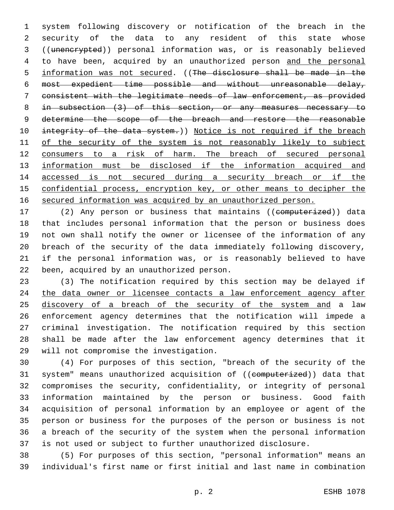system following discovery or notification of the breach in the security of the data to any resident of this state whose ((unencrypted)) personal information was, or is reasonably believed to have been, acquired by an unauthorized person and the personal information was not secured. ((The disclosure shall be made in the most expedient time possible and without unreasonable delay, consistent with the legitimate needs of law enforcement, as provided in subsection (3) of this section, or any measures necessary to 9 determine the scope of the breach and restore the reasonable 10 integrity of the data system.)) Notice is not required if the breach 11 of the security of the system is not reasonably likely to subject consumers to a risk of harm. The breach of secured personal 13 information must be disclosed if the information acquired and accessed is not secured during a security breach or if the confidential process, encryption key, or other means to decipher the secured information was acquired by an unauthorized person.

17 (2) Any person or business that maintains ((computerized)) data that includes personal information that the person or business does not own shall notify the owner or licensee of the information of any breach of the security of the data immediately following discovery, if the personal information was, or is reasonably believed to have 22 been, acquired by an unauthorized person.

 (3) The notification required by this section may be delayed if 24 the data owner or licensee contacts a law enforcement agency after 25 discovery of a breach of the security of the system and a law enforcement agency determines that the notification will impede a criminal investigation. The notification required by this section shall be made after the law enforcement agency determines that it 29 will not compromise the investigation.

 (4) For purposes of this section, "breach of the security of the 31 system" means unauthorized acquisition of ((computerized)) data that compromises the security, confidentiality, or integrity of personal information maintained by the person or business. Good faith acquisition of personal information by an employee or agent of the person or business for the purposes of the person or business is not a breach of the security of the system when the personal information is not used or subject to further unauthorized disclosure.

 (5) For purposes of this section, "personal information" means an individual's first name or first initial and last name in combination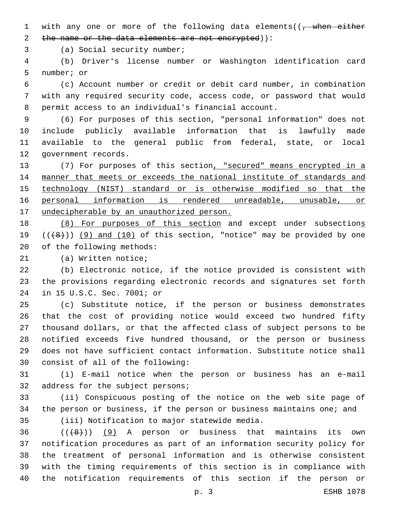1 with any one or more of the following data elements( $\sqrt{$ , when either 2 the name or the data elements are not encrypted)):

3 (a) Social security number;

 (b) Driver's license number or Washington identification card 5 number; or

 (c) Account number or credit or debit card number, in combination with any required security code, access code, or password that would permit access to an individual's financial account.

 (6) For purposes of this section, "personal information" does not include publicly available information that is lawfully made available to the general public from federal, state, or local 12 government records.

 (7) For purposes of this section, "secured" means encrypted in a manner that meets or exceeds the national institute of standards and technology (NIST) standard or is otherwise modified so that the personal information is rendered unreadable, unusable, or 17 undecipherable by an unauthorized person.

18 (8) For purposes of this section and except under subsections 19  $((+8))$  (9) and (10) of this section, "notice" may be provided by one 20 of the following methods:

21 (a) Written notice;

 (b) Electronic notice, if the notice provided is consistent with the provisions regarding electronic records and signatures set forth 24 in 15 U.S.C. Sec. 7001; or

 (c) Substitute notice, if the person or business demonstrates that the cost of providing notice would exceed two hundred fifty thousand dollars, or that the affected class of subject persons to be notified exceeds five hundred thousand, or the person or business does not have sufficient contact information. Substitute notice shall 30 consist of all of the following:

 (i) E-mail notice when the person or business has an e-mail 32 address for the subject persons;

 (ii) Conspicuous posting of the notice on the web site page of the person or business, if the person or business maintains one; and 35 (iii) Notification to major statewide media.

  $((+8))$   $(9)$  A person or business that maintains its own notification procedures as part of an information security policy for the treatment of personal information and is otherwise consistent with the timing requirements of this section is in compliance with the notification requirements of this section if the person or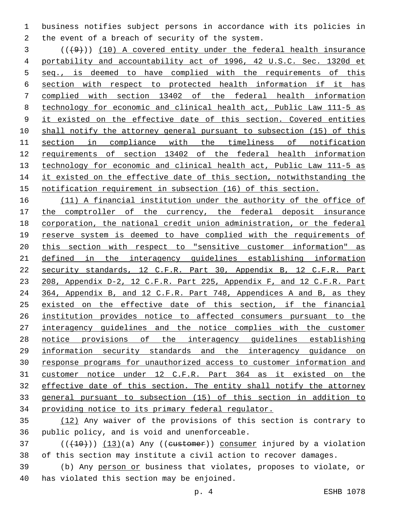business notifies subject persons in accordance with its policies in 2 the event of a breach of security of the system.

 ( $(\overline{+9})$ ) (10) A covered entity under the federal health insurance portability and accountability act of 1996, 42 U.S.C. Sec. 1320d et seq., is deemed to have complied with the requirements of this section with respect to protected health information if it has complied with section 13402 of the federal health information technology for economic and clinical health act, Public Law 111-5 as 9 it existed on the effective date of this section. Covered entities shall notify the attorney general pursuant to subsection (15) of this section in compliance with the timeliness of notification requirements of section 13402 of the federal health information technology for economic and clinical health act, Public Law 111-5 as 14 it existed on the effective date of this section, notwithstanding the notification requirement in subsection (16) of this section.

16 (11) A financial institution under the authority of the office of 17 the comptroller of the currency, the federal deposit insurance corporation, the national credit union administration, or the federal 19 reserve system is deemed to have complied with the requirements of this section with respect to "sensitive customer information" as defined in the interagency guidelines establishing information security standards, 12 C.F.R. Part 30, Appendix B, 12 C.F.R. Part 208, Appendix D-2, 12 C.F.R. Part 225, Appendix F, and 12 C.F.R. Part 24 364, Appendix B, and 12 C.F.R. Part 748, Appendices A and B, as they existed on the effective date of this section, if the financial institution provides notice to affected consumers pursuant to the interagency guidelines and the notice complies with the customer notice provisions of the interagency guidelines establishing information security standards and the interagency guidance on response programs for unauthorized access to customer information and customer notice under 12 C.F.R. Part 364 as it existed on the effective date of this section. The entity shall notify the attorney general pursuant to subsection (15) of this section in addition to providing notice to its primary federal regulator.

 (12) Any waiver of the provisions of this section is contrary to 36 public policy, and is void and unenforceable.

 ( $(\overline{+10})$ )  $(13)(a)$  Any ((eustomer)) consumer injured by a violation of this section may institute a civil action to recover damages.

 (b) Any person or business that violates, proposes to violate, or 40 has violated this section may be enjoined.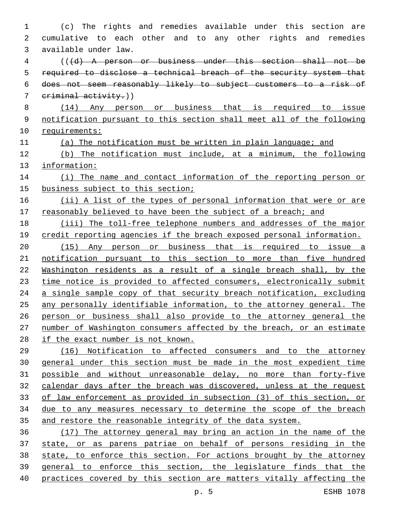(c) The rights and remedies available under this section are cumulative to each other and to any other rights and remedies available under law.3 (((d) A person or business under this section shall not be required to disclose a technical breach of the security system that does not seem reasonably likely to subject customers to a risk of criminal activity.)) (14) Any person or business that is required to issue notification pursuant to this section shall meet all of the following requirements: (a) The notification must be written in plain language; and (b) The notification must include, at a minimum, the following information: 14 (i) The name and contact information of the reporting person or business subject to this section; (ii) A list of the types of personal information that were or are 17 reasonably believed to have been the subject of a breach; and (iii) The toll-free telephone numbers and addresses of the major 19 credit reporting agencies if the breach exposed personal information. (15) Any person or business that is required to issue a notification pursuant to this section to more than five hundred Washington residents as a result of a single breach shall, by the 23 time notice is provided to affected consumers, electronically submit a single sample copy of that security breach notification, excluding any personally identifiable information, to the attorney general. The person or business shall also provide to the attorney general the number of Washington consumers affected by the breach, or an estimate if the exact number is not known. (16) Notification to affected consumers and to the attorney general under this section must be made in the most expedient time possible and without unreasonable delay, no more than forty-five calendar days after the breach was discovered, unless at the request of law enforcement as provided in subsection (3) of this section, or due to any measures necessary to determine the scope of the breach and restore the reasonable integrity of the data system. (17) The attorney general may bring an action in the name of the state, or as parens patriae on behalf of persons residing in the state, to enforce this section. For actions brought by the attorney general to enforce this section, the legislature finds that the practices covered by this section are matters vitally affecting the

p. 5 ESHB 1078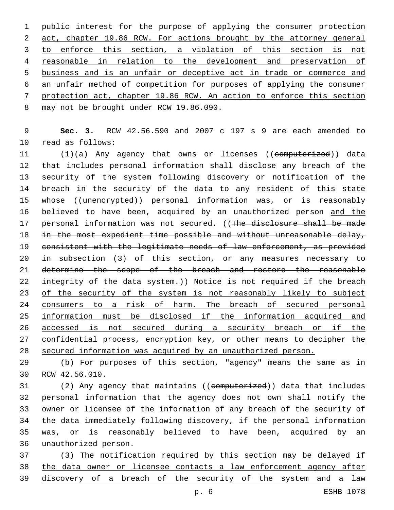public interest for the purpose of applying the consumer protection 2 act, chapter 19.86 RCW. For actions brought by the attorney general 3 to enforce this section, a violation of this section is not reasonable in relation to the development and preservation of business and is an unfair or deceptive act in trade or commerce and an unfair method of competition for purposes of applying the consumer protection act, chapter 19.86 RCW. An action to enforce this section 8 may not be brought under RCW 19.86.090.

 **Sec. 3.** RCW 42.56.590 and 2007 c 197 s 9 are each amended to 10 read as follows:

11 (1)(a) Any agency that owns or licenses ((computerized)) data that includes personal information shall disclose any breach of the security of the system following discovery or notification of the breach in the security of the data to any resident of this state 15 whose ((unencrypted)) personal information was, or is reasonably 16 believed to have been, acquired by an unauthorized person and the 17 personal information was not secured. ((The disclosure shall be made 18 in the most expedient time possible and without unreasonable delay, consistent with the legitimate needs of law enforcement, as provided in subsection (3) of this section, or any measures necessary to determine the scope of the breach and restore the reasonable 22 integrity of the data system.)) Notice is not required if the breach 23 of the security of the system is not reasonably likely to subject 24 consumers to a risk of harm. The breach of secured personal information must be disclosed if the information acquired and accessed is not secured during a security breach or if the confidential process, encryption key, or other means to decipher the secured information was acquired by an unauthorized person.

 (b) For purposes of this section, "agency" means the same as in 30 RCW 42.56.010.

 (2) Any agency that maintains ((computerized)) data that includes personal information that the agency does not own shall notify the owner or licensee of the information of any breach of the security of the data immediately following discovery, if the personal information was, or is reasonably believed to have been, acquired by an unauthorized person.36

 (3) The notification required by this section may be delayed if the data owner or licensee contacts a law enforcement agency after discovery of a breach of the security of the system and a law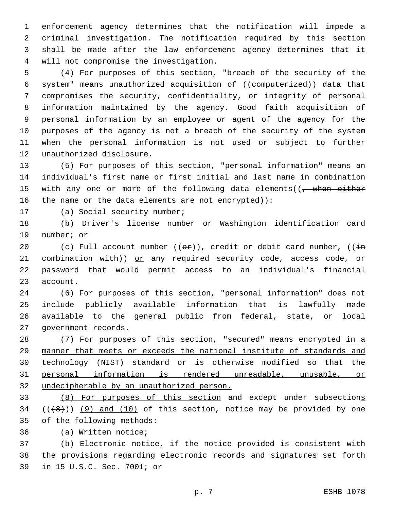enforcement agency determines that the notification will impede a criminal investigation. The notification required by this section shall be made after the law enforcement agency determines that it will not compromise the investigation.4

 (4) For purposes of this section, "breach of the security of the system" means unauthorized acquisition of ((computerized)) data that compromises the security, confidentiality, or integrity of personal information maintained by the agency. Good faith acquisition of personal information by an employee or agent of the agency for the purposes of the agency is not a breach of the security of the system when the personal information is not used or subject to further 12 unauthorized disclosure.

 (5) For purposes of this section, "personal information" means an individual's first name or first initial and last name in combination 15 with any one or more of the following data elements((, when either 16 the name or the data elements are not encrypted)):

17 (a) Social security number;

 (b) Driver's license number or Washington identification card 19 number; or

20 (c) Full account number  $((\theta \cdot \mathbf{r}))_L$  credit or debit card number,  $((\frac{1}{2}m)^2 + m^2)$ 21 eombination with)) or any required security code, access code, or password that would permit access to an individual's financial 23 account.

 (6) For purposes of this section, "personal information" does not include publicly available information that is lawfully made available to the general public from federal, state, or local 27 government records.

28 (7) For purposes of this section, "secured" means encrypted in a manner that meets or exceeds the national institute of standards and technology (NIST) standard or is otherwise modified so that the personal information is rendered unreadable, unusable, or undecipherable by an unauthorized person.

 (8) For purposes of this section and except under subsections  $((+8))$   $(9)$  and  $(10)$  of this section, notice may be provided by one 35 of the following methods:

36 (a) Written notice;

 (b) Electronic notice, if the notice provided is consistent with the provisions regarding electronic records and signatures set forth 39 in 15 U.S.C. Sec. 7001; or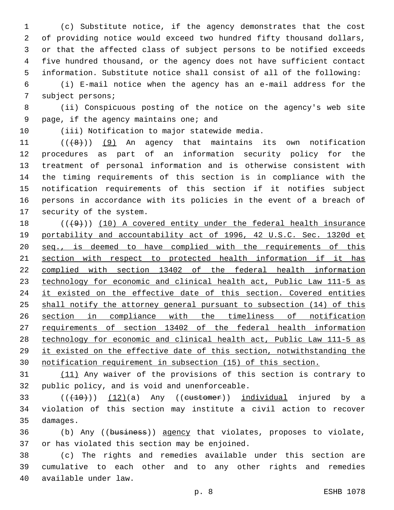(c) Substitute notice, if the agency demonstrates that the cost of providing notice would exceed two hundred fifty thousand dollars, or that the affected class of subject persons to be notified exceeds five hundred thousand, or the agency does not have sufficient contact information. Substitute notice shall consist of all of the following:

 (i) E-mail notice when the agency has an e-mail address for the 7 subject persons;

 (ii) Conspicuous posting of the notice on the agency's web site 9 page, if the agency maintains one; and

10 (iii) Notification to major statewide media.

 $((+8))$   $(9)$  An agency that maintains its own notification procedures as part of an information security policy for the treatment of personal information and is otherwise consistent with the timing requirements of this section is in compliance with the notification requirements of this section if it notifies subject persons in accordance with its policies in the event of a breach of 17 security of the system.

18 (((49))) (10) A covered entity under the federal health insurance portability and accountability act of 1996, 42 U.S.C. Sec. 1320d et 20 seq., is deemed to have complied with the requirements of this section with respect to protected health information if it has complied with section 13402 of the federal health information technology for economic and clinical health act, Public Law 111-5 as 24 it existed on the effective date of this section. Covered entities shall notify the attorney general pursuant to subsection (14) of this section in compliance with the timeliness of notification requirements of section 13402 of the federal health information technology for economic and clinical health act, Public Law 111-5 as it existed on the effective date of this section, notwithstanding the notification requirement in subsection (15) of this section.

 (11) Any waiver of the provisions of this section is contrary to 32 public policy, and is void and unenforceable.

 $(1,10)$  (( $(10)$ ) (12)(a) Any ((eustomer)) individual injured by a violation of this section may institute a civil action to recover 35 damages.

 (b) Any ((business)) agency that violates, proposes to violate, 37 or has violated this section may be enjoined.

 (c) The rights and remedies available under this section are cumulative to each other and to any other rights and remedies 40 available under law.